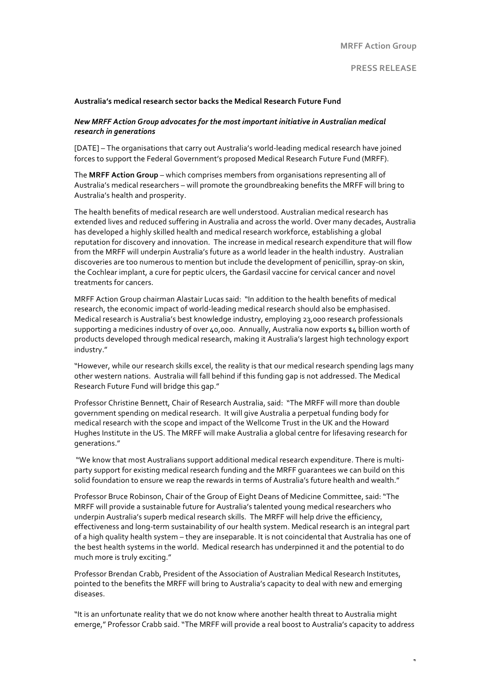## **PRESS RELEASE**

1

### Australia's medical research sector backs the Medical Research Future Fund

## New MRFF Action Group advocates for the most important initiative in Australian medical *research in generations*

[DATE] - The organisations that carry out Australia's world-leading medical research have joined forces to support the Federal Government's proposed Medical Research Future Fund (MRFF).

The MRFF Action Group – which comprises members from organisations representing all of Australia's medical researchers – will promote the groundbreaking benefits the MRFF will bring to Australia's health and prosperity.

The health benefits of medical research are well understood. Australian medical research has extended lives and reduced suffering in Australia and across the world. Over many decades, Australia has developed a highly skilled health and medical research workforce, establishing a global reputation for discovery and innovation. The increase in medical research expenditure that will flow from the MRFF will underpin Australia's future as a world leader in the health industry. Australian discoveries are too numerous to mention but include the development of penicillin, spray-on skin, the Cochlear implant, a cure for peptic ulcers, the Gardasil vaccine for cervical cancer and novel treatments for cancers.

MRFF Action Group chairman Alastair Lucas said: "In addition to the health benefits of medical research, the economic impact of world-leading medical research should also be emphasised. Medical research is Australia's best knowledge industry, employing 23,000 research professionals supporting a medicines industry of over 40,000. Annually, Australia now exports  $\frac{1}{4}$  billion worth of products developed through medical research, making it Australia's largest high technology export industry."

"However, while our research skills excel, the reality is that our medical research spending lags many other western nations. Australia will fall behind if this funding gap is not addressed. The Medical Research Future Fund will bridge this gap."

Professor Christine Bennett, Chair of Research Australia, said: "The MRFF will more than double government spending on medical research. It will give Australia a perpetual funding body for medical research with the scope and impact of the Wellcome Trust in the UK and the Howard Hughes Institute in the US. The MRFF will make Australia a global centre for lifesaving research for generations."

"We know that most Australians support additional medical research expenditure. There is multiparty support for existing medical research funding and the MRFF guarantees we can build on this solid foundation to ensure we reap the rewards in terms of Australia's future health and wealth."

Professor Bruce Robinson, Chair of the Group of Eight Deans of Medicine Committee, said: "The MRFF will provide a sustainable future for Australia's talented young medical researchers who underpin Australia's superb medical research skills. The MRFF will help drive the efficiency, effectiveness and long-term sustainability of our health system. Medical research is an integral part of a high quality health system – they are inseparable. It is not coincidental that Australia has one of the best health systems in the world. Medical research has underpinned it and the potential to do much more is truly exciting."

Professor Brendan Crabb, President of the Association of Australian Medical Research Institutes, pointed to the benefits the MRFF will bring to Australia's capacity to deal with new and emerging diseases.

"It is an unfortunate reality that we do not know where another health threat to Australia might emerge," Professor Crabb said. "The MRFF will provide a real boost to Australia's capacity to address